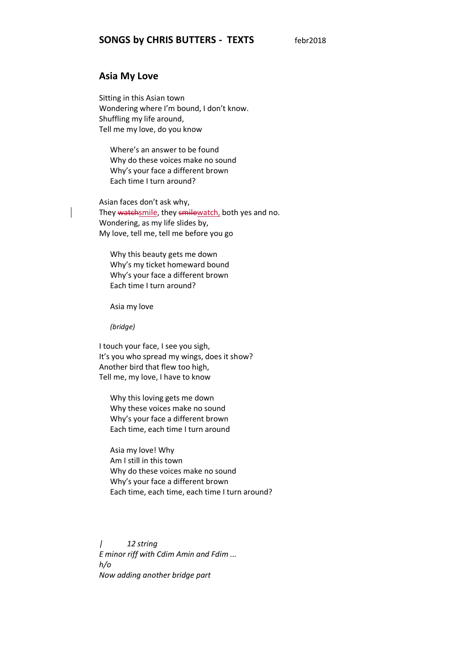### **Asia My Love**

Sitting in this Asian town Wondering where I'm bound, I don't know. Shuffling my life around, Tell me my love, do you know

Where's an answer to be found Why do these voices make no sound Why's your face a different brown Each time I turn around?

Asian faces don't ask why, They watchsmile, they smilewatch, both yes and no. Wondering, as my life slides by, My love, tell me, tell me before you go

Why this beauty gets me down Why's my ticket homeward bound Why's your face a different brown Each time I turn around?

Asia my love

*(bridge)*

I touch your face, I see you sigh, It's you who spread my wings, does it show? Another bird that flew too high, Tell me, my love, I have to know

Why this loving gets me down Why these voices make no sound Why's your face a different brown Each time, each time I turn around

Asia my love! Why Am I still in this town Why do these voices make no sound Why's your face a different brown Each time, each time, each time I turn around?

*| 12 string E minor riff with Cdim Amin and Fdim ... h/o Now adding another bridge part*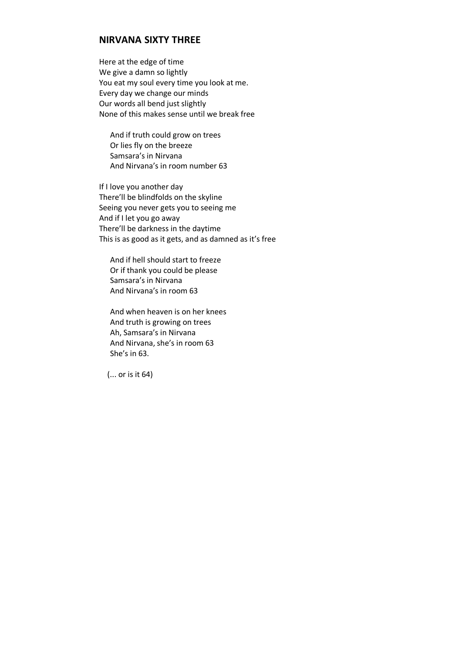## **NIRVANA SIXTY THREE**

Here at the edge of time We give a damn so lightly You eat my soul every time you look at me. Every day we change our minds Our words all bend just slightly None of this makes sense until we break free

And if truth could grow on trees Or lies fly on the breeze Samsara's in Nirvana And Nirvana's in room number 63

If I love you another day There'll be blindfolds on the skyline Seeing you never gets you to seeing me And if I let you go away There'll be darkness in the daytime This is as good as it gets, and as damned as it's free

And if hell should start to freeze Or if thank you could be please Samsara's in Nirvana And Nirvana's in room 63

And when heaven is on her knees And truth is growing on trees Ah, Samsara's in Nirvana And Nirvana, she's in room 63 She's in 63.

(... or is it 64)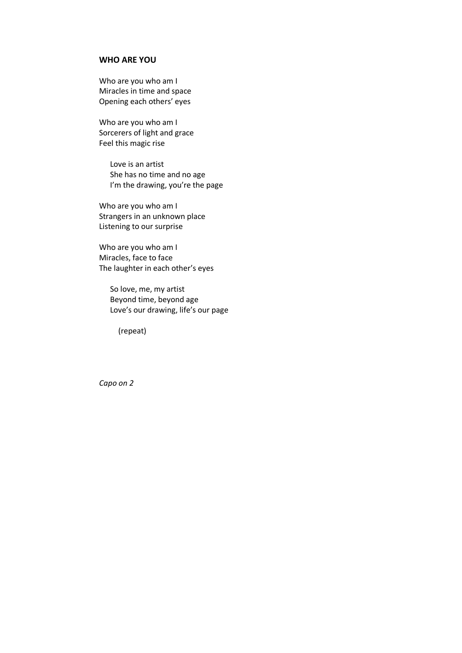## **WHO ARE YOU**

Who are you who am I Miracles in time and space Opening each others' eyes

Who are you who am I Sorcerers of light and grace Feel this magic rise

> Love is an artist She has no time and no age I'm the drawing, you're the page

Who are you who am I Strangers in an unknown place Listening to our surprise

Who are you who am I Miracles, face to face The laughter in each other's eyes

So love, me, my artist Beyond time, beyond age Love's our drawing, life's our page

(repeat)

*Capo on 2*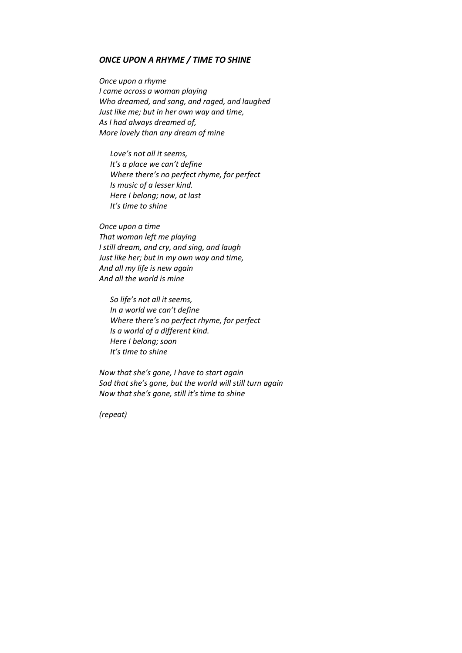#### *ONCE UPON A RHYME / TIME TO SHINE*

*Once upon a rhyme I came across a woman playing Who dreamed, and sang, and raged, and laughed Just like me; but in her own way and time, As I had always dreamed of, More lovely than any dream of mine*

*Love's not all it seems, It's a place we can't define Where there's no perfect rhyme, for perfect Is music of a lesser kind. Here I belong; now, at last It's time to shine*

*Once upon a time That woman left me playing I still dream, and cry, and sing, and laugh Just like her; but in my own way and time, And all my life is new again And all the world is mine*

*So life's not all it seems, In a world we can't define Where there's no perfect rhyme, for perfect Is a world of a different kind. Here I belong; soon It's time to shine*

*Now that she's gone, I have to start again Sad that she's gone, but the world will still turn again Now that she's gone, still it's time to shine*

*(repeat)*